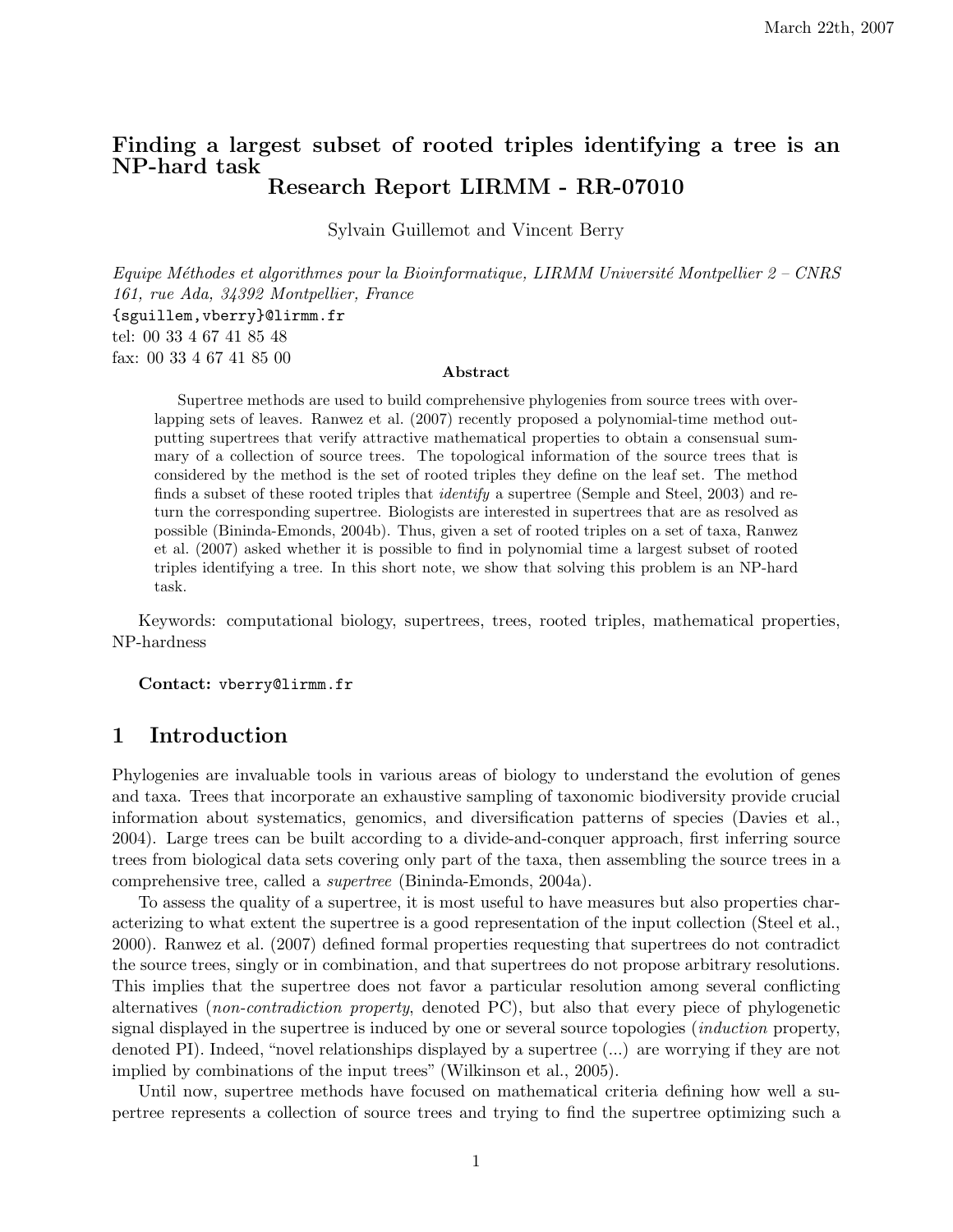# Finding a largest subset of rooted triples identifying a tree is an NP-hard task Research Report LIRMM - RR-07010

Sylvain Guillemot and Vincent Berry

Equipe Méthodes et algorithmes pour la Bioinformatique, LIRMM Université Montpellier  $2$  – CNRS 161, rue Ada, 34392 Montpellier, France {sguillem,vberry}@lirmm.fr tel: 00 33 4 67 41 85 48 fax: 00 33 4 67 41 85 00

## Abstract

Supertree methods are used to build comprehensive phylogenies from source trees with overlapping sets of leaves. Ranwez et al. (2007) recently proposed a polynomial-time method outputting supertrees that verify attractive mathematical properties to obtain a consensual summary of a collection of source trees. The topological information of the source trees that is considered by the method is the set of rooted triples they define on the leaf set. The method finds a subset of these rooted triples that identify a supertree (Semple and Steel, 2003) and return the corresponding supertree. Biologists are interested in supertrees that are as resolved as possible (Bininda-Emonds, 2004b). Thus, given a set of rooted triples on a set of taxa, Ranwez et al. (2007) asked whether it is possible to find in polynomial time a largest subset of rooted triples identifying a tree. In this short note, we show that solving this problem is an NP-hard task.

Keywords: computational biology, supertrees, trees, rooted triples, mathematical properties, NP-hardness

## Contact: vberry@lirmm.fr

## 1 Introduction

Phylogenies are invaluable tools in various areas of biology to understand the evolution of genes and taxa. Trees that incorporate an exhaustive sampling of taxonomic biodiversity provide crucial information about systematics, genomics, and diversification patterns of species (Davies et al., 2004). Large trees can be built according to a divide-and-conquer approach, first inferring source trees from biological data sets covering only part of the taxa, then assembling the source trees in a comprehensive tree, called a supertree (Bininda-Emonds, 2004a).

To assess the quality of a supertree, it is most useful to have measures but also properties characterizing to what extent the supertree is a good representation of the input collection (Steel et al., 2000). Ranwez et al. (2007) defined formal properties requesting that supertrees do not contradict the source trees, singly or in combination, and that supertrees do not propose arbitrary resolutions. This implies that the supertree does not favor a particular resolution among several conflicting alternatives (non-contradiction property, denoted PC), but also that every piece of phylogenetic signal displayed in the supertree is induced by one or several source topologies (induction property, denoted PI). Indeed, "novel relationships displayed by a supertree (...) are worrying if they are not implied by combinations of the input trees" (Wilkinson et al., 2005).

Until now, supertree methods have focused on mathematical criteria defining how well a supertree represents a collection of source trees and trying to find the supertree optimizing such a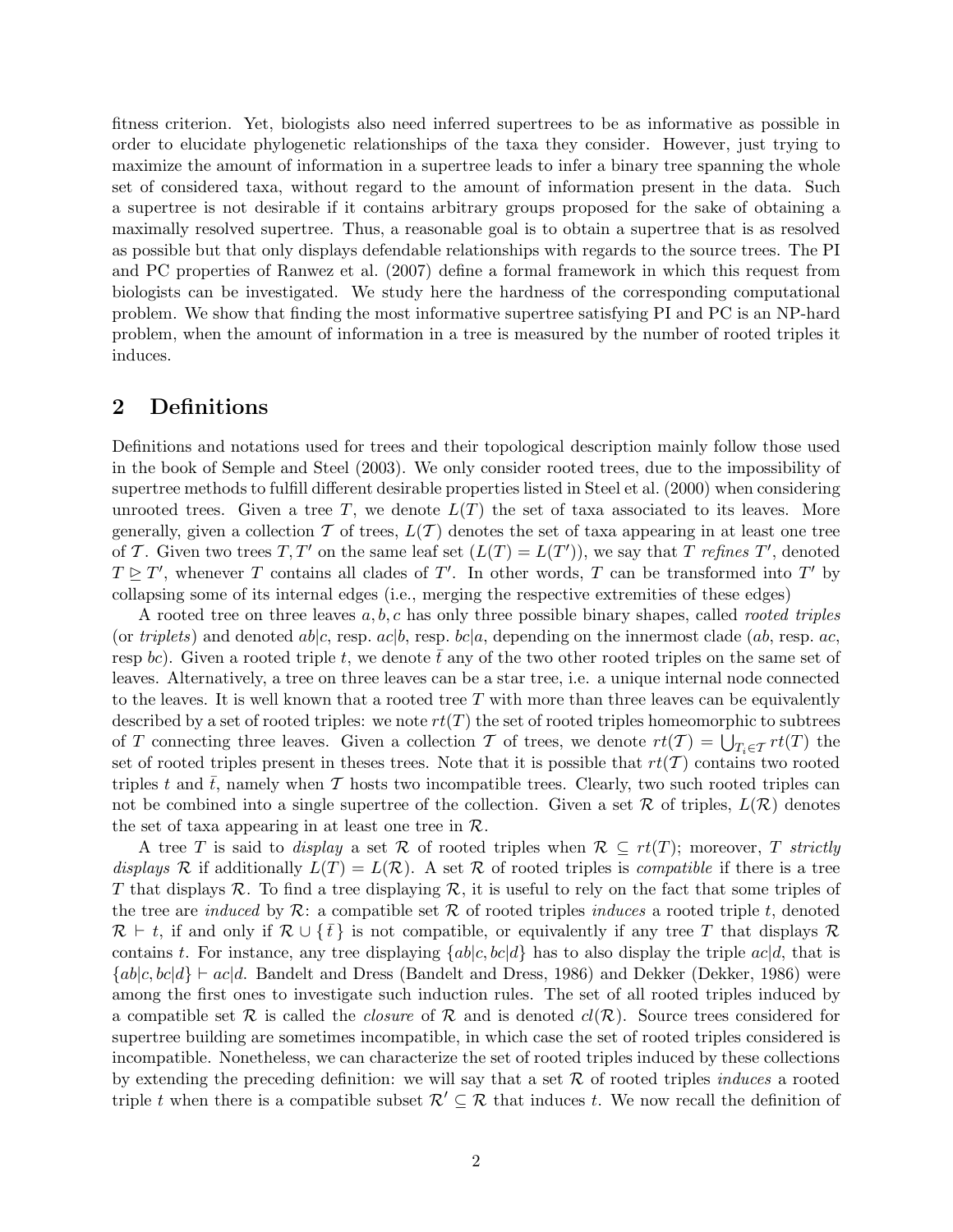fitness criterion. Yet, biologists also need inferred supertrees to be as informative as possible in order to elucidate phylogenetic relationships of the taxa they consider. However, just trying to maximize the amount of information in a supertree leads to infer a binary tree spanning the whole set of considered taxa, without regard to the amount of information present in the data. Such a supertree is not desirable if it contains arbitrary groups proposed for the sake of obtaining a maximally resolved supertree. Thus, a reasonable goal is to obtain a supertree that is as resolved as possible but that only displays defendable relationships with regards to the source trees. The PI and PC properties of Ranwez et al. (2007) define a formal framework in which this request from biologists can be investigated. We study here the hardness of the corresponding computational problem. We show that finding the most informative supertree satisfying PI and PC is an NP-hard problem, when the amount of information in a tree is measured by the number of rooted triples it induces.

# 2 Definitions

Definitions and notations used for trees and their topological description mainly follow those used in the book of Semple and Steel (2003). We only consider rooted trees, due to the impossibility of supertree methods to fulfill different desirable properties listed in Steel et al. (2000) when considering unrooted trees. Given a tree T, we denote  $L(T)$  the set of taxa associated to its leaves. More generally, given a collection T of trees,  $L(\mathcal{T})$  denotes the set of taxa appearing in at least one tree of T. Given two trees T, T' on the same leaf set  $(L(T) = L(T'))$ , we say that T refines T', denoted  $T \trianglerighteq T'$ , whenever T contains all clades of T'. In other words, T can be transformed into T' by collapsing some of its internal edges (i.e., merging the respective extremities of these edges)

A rooted tree on three leaves  $a, b, c$  has only three possible binary shapes, called *rooted triples* (or triplets) and denoted  $ab|c$ , resp.  $ac|b$ , resp.  $bc|a$ , depending on the innermost clade (ab, resp. ac, resp bc). Given a rooted triple t, we denote  $\bar{t}$  any of the two other rooted triples on the same set of leaves. Alternatively, a tree on three leaves can be a star tree, i.e. a unique internal node connected to the leaves. It is well known that a rooted tree  $T$  with more than three leaves can be equivalently described by a set of rooted triples: we note  $rt(T)$  the set of rooted triples homeomorphic to subtrees of T connecting three leaves. Given a collection T of trees, we denote  $rt(\mathcal{T}) = \bigcup_{T_i \in \mathcal{T}} rt(T)$  the set of rooted triples present in theses trees. Note that it is possible that  $rt(\mathcal{T})$  contains two rooted triples t and t, namely when  $\mathcal T$  hosts two incompatible trees. Clearly, two such rooted triples can not be combined into a single supertree of the collection. Given a set  $\mathcal R$  of triples,  $L(\mathcal R)$  denotes the set of taxa appearing in at least one tree in  $\mathcal{R}$ .

A tree T is said to display a set R of rooted triples when  $\mathcal{R} \subseteq rt(T)$ ; moreover, T strictly displays R if additionally  $L(T) = L(R)$ . A set R of rooted triples is *compatible* if there is a tree T that displays  $\mathcal R$ . To find a tree displaying  $\mathcal R$ , it is useful to rely on the fact that some triples of the tree are induced by  $\mathcal{R}$ : a compatible set  $\mathcal R$  of rooted triples induces a rooted triple t, denoted  $\mathcal{R} \vdash t$ , if and only if  $\mathcal{R} \cup \{\bar{t}\}\$ is not compatible, or equivalently if any tree T that displays  $\mathcal{R}$ contains t. For instance, any tree displaying  $\{ab|c, bc|d\}$  has to also display the triple  $ac|d$ , that is  ${a|c, bc|d} \vdash ac|d$ . Bandelt and Dress (Bandelt and Dress, 1986) and Dekker (Dekker, 1986) were among the first ones to investigate such induction rules. The set of all rooted triples induced by a compatible set R is called the *closure* of R and is denoted  $cl(R)$ . Source trees considered for supertree building are sometimes incompatible, in which case the set of rooted triples considered is incompatible. Nonetheless, we can characterize the set of rooted triples induced by these collections by extending the preceding definition: we will say that a set  $R$  of rooted triples *induces* a rooted triple t when there is a compatible subset  $\mathcal{R}' \subseteq \mathcal{R}$  that induces t. We now recall the definition of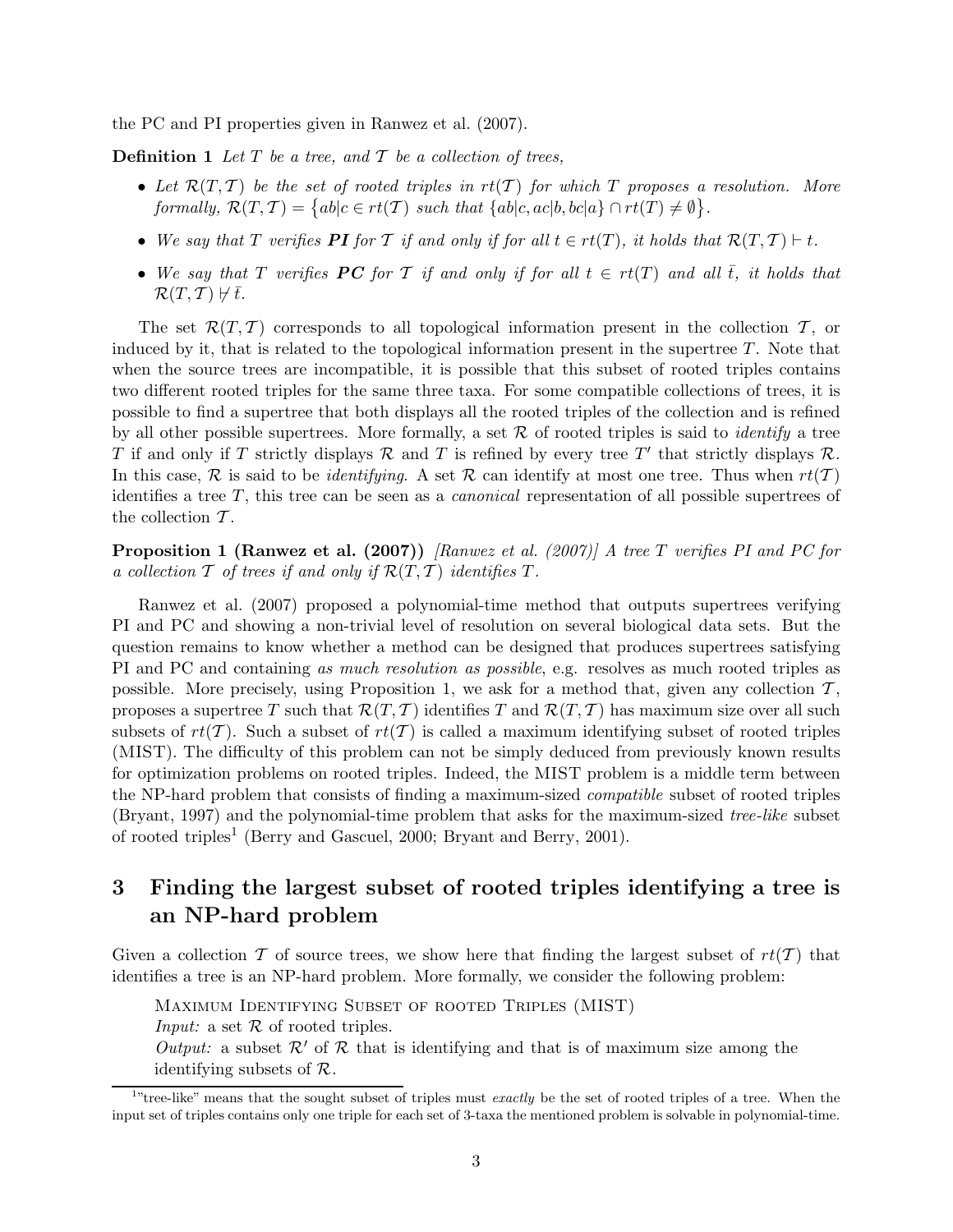the PC and PI properties given in Ranwez et al. (2007).

**Definition 1** Let  $T$  be a tree, and  $T$  be a collection of trees,

- Let  $\mathcal{R}(T, \mathcal{T})$  be the set of rooted triples in  $rt(\mathcal{T})$  for which T proposes a resolution. More formally,  $\mathcal{R}(T, \mathcal{T}) = \{ ab | c \in rt(\mathcal{T}) \text{ such that } \{ ab | c, ac | b, bc | a \} \cap rt(T) \neq \emptyset \}.$
- We say that T verifies PI for T if and only if for all  $t \in rt(T)$ , it holds that  $\mathcal{R}(T,T) \vdash t$ .
- We say that T verifies **PC** for T if and only if for all  $t \in rt(T)$  and all  $\overline{t}$ , it holds that  $\mathcal{R}(T, \mathcal{T}) \not\vdash \bar{t}.$

The set  $\mathcal{R}(T, \mathcal{T})$  corresponds to all topological information present in the collection  $\mathcal{T}$ , or induced by it, that is related to the topological information present in the supertree  $T$ . Note that when the source trees are incompatible, it is possible that this subset of rooted triples contains two different rooted triples for the same three taxa. For some compatible collections of trees, it is possible to find a supertree that both displays all the rooted triples of the collection and is refined by all other possible supertrees. More formally, a set  $R$  of rooted triples is said to *identify* a tree T if and only if T strictly displays R and T is refined by every tree T' that strictly displays R. In this case, R is said to be *identifying*. A set R can identify at most one tree. Thus when  $rt(T)$ identifies a tree T, this tree can be seen as a canonical representation of all possible supertrees of the collection  $\mathcal T$ .

**Proposition 1 (Ranwez et al. (2007))** [Ranwez et al. (2007)] A tree T verifies PI and PC for a collection  $\mathcal T$  of trees if and only if  $\mathcal R(T, \mathcal T)$  identifies  $T$ .

Ranwez et al. (2007) proposed a polynomial-time method that outputs supertrees verifying PI and PC and showing a non-trivial level of resolution on several biological data sets. But the question remains to know whether a method can be designed that produces supertrees satisfying PI and PC and containing as much resolution as possible, e.g. resolves as much rooted triples as possible. More precisely, using Proposition 1, we ask for a method that, given any collection  $\mathcal{T}$ , proposes a supertree T such that  $\mathcal{R}(T, \mathcal{T})$  identifies T and  $\mathcal{R}(T, \mathcal{T})$  has maximum size over all such subsets of  $rt(\mathcal{T})$ . Such a subset of  $rt(\mathcal{T})$  is called a maximum identifying subset of rooted triples (MIST). The difficulty of this problem can not be simply deduced from previously known results for optimization problems on rooted triples. Indeed, the MIST problem is a middle term between the NP-hard problem that consists of finding a maximum-sized compatible subset of rooted triples (Bryant, 1997) and the polynomial-time problem that asks for the maximum-sized tree-like subset of rooted triples<sup>1</sup> (Berry and Gascuel, 2000; Bryant and Berry, 2001).

# 3 Finding the largest subset of rooted triples identifying a tree is an NP-hard problem

Given a collection T of source trees, we show here that finding the largest subset of  $rt(\mathcal{T})$  that identifies a tree is an NP-hard problem. More formally, we consider the following problem:

Maximum Identifying Subset of rooted Triples (MIST) *Input:* a set  $\mathcal R$  of rooted triples. Output: a subset  $\mathcal{R}'$  of  $\mathcal R$  that is identifying and that is of maximum size among the identifying subsets of  $\mathcal{R}$ .

 $1$ "tree-like" means that the sought subset of triples must exactly be the set of rooted triples of a tree. When the input set of triples contains only one triple for each set of 3-taxa the mentioned problem is solvable in polynomial-time.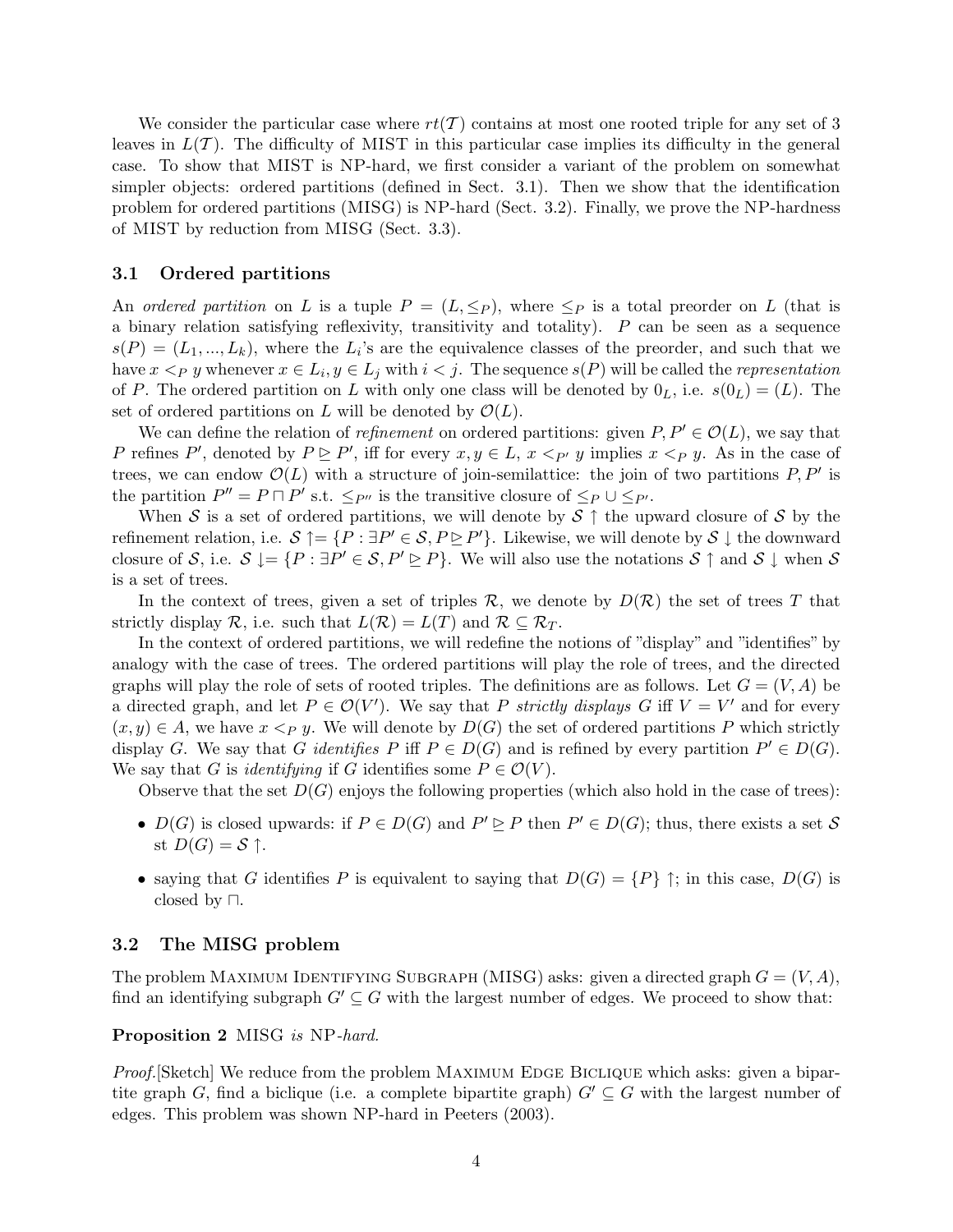We consider the particular case where  $rt(\mathcal{T})$  contains at most one rooted triple for any set of 3 leaves in  $L(\mathcal{T})$ . The difficulty of MIST in this particular case implies its difficulty in the general case. To show that MIST is NP-hard, we first consider a variant of the problem on somewhat simpler objects: ordered partitions (defined in Sect. 3.1). Then we show that the identification problem for ordered partitions (MISG) is NP-hard (Sect. 3.2). Finally, we prove the NP-hardness of MIST by reduction from MISG (Sect. 3.3).

## 3.1 Ordered partitions

An ordered partition on L is a tuple  $P = (L, \leq_P)$ , where  $\leq_P$  is a total preorder on L (that is a binary relation satisfying reflexivity, transitivity and totality).  $P$  can be seen as a sequence  $s(P) = (L_1, ..., L_k)$ , where the  $L_i$ 's are the equivalence classes of the preorder, and such that we have  $x <_P y$  whenever  $x \in L_i, y \in L_j$  with  $i < j$ . The sequence  $s(P)$  will be called the *representation* of P. The ordered partition on L with only one class will be denoted by  $0_L$ , i.e.  $s(0_L) = (L)$ . The set of ordered partitions on L will be denoted by  $\mathcal{O}(L)$ .

We can define the relation of *refinement* on ordered partitions: given  $P, P' \in \mathcal{O}(L)$ , we say that P refines P', denoted by  $P \triangleright P'$ , iff for every  $x, y \in L$ ,  $x <_{P'} y$  implies  $x <_{P} y$ . As in the case of trees, we can endow  $\mathcal{O}(L)$  with a structure of join-semilattice: the join of two partitions  $P, P'$  is the partition  $P'' = P \sqcap P'$  s.t.  $\leq_{P''}$  is the transitive closure of  $\leq_P \cup \leq_{P'}$ .

When S is a set of ordered partitions, we will denote by  $S \uparrow$  the upward closure of S by the refinement relation, i.e.  $S \uparrow = \{P : \exists P' \in S, P \trianglerighteq P'\}$ . Likewise, we will denote by  $S \downarrow$  the downward closure of S, i.e.  $S \downarrow = \{P : \exists P' \in S, P' \triangleright P\}$ . We will also use the notations  $S \uparrow$  and  $S \downarrow$  when S is a set of trees.

In the context of trees, given a set of triples  $\mathcal{R}$ , we denote by  $D(\mathcal{R})$  the set of trees T that strictly display R, i.e. such that  $L(\mathcal{R}) = L(T)$  and  $\mathcal{R} \subseteq \mathcal{R}_T$ .

In the context of ordered partitions, we will redefine the notions of "display" and "identifies" by analogy with the case of trees. The ordered partitions will play the role of trees, and the directed graphs will play the role of sets of rooted triples. The definitions are as follows. Let  $G = (V, A)$  be a directed graph, and let  $P \in \mathcal{O}(V')$ . We say that P strictly displays G iff  $V = V'$  and for every  $(x,y) \in A$ , we have  $x <_{P} y$ . We will denote by  $D(G)$  the set of ordered partitions P which strictly display G. We say that G *identifies* P iff  $P \in D(G)$  and is refined by every partition  $P' \in D(G)$ . We say that G is *identifying* if G identifies some  $P \in \mathcal{O}(V)$ .

Observe that the set  $D(G)$  enjoys the following properties (which also hold in the case of trees):

- $D(G)$  is closed upwards: if  $P \in D(G)$  and  $P' \trianglerighteq P$  then  $P' \in D(G)$ ; thus, there exists a set S st  $D(G) = S$   $\uparrow$ .
- saying that G identifies P is equivalent to saying that  $D(G) = \{P\} \uparrow$ ; in this case,  $D(G)$  is closed by ⊓.

## 3.2 The MISG problem

The problem MAXIMUM IDENTIFYING SUBGRAPH (MISG) asks: given a directed graph  $G = (V, A)$ , find an identifying subgraph  $G' \subseteq G$  with the largest number of edges. We proceed to show that:

## Proposition 2 MISG is NP-hard.

Proof. [Sketch] We reduce from the problem MAXIMUM EDGE BICLIQUE which asks: given a bipartite graph G, find a biclique (i.e. a complete bipartite graph)  $G' \subseteq G$  with the largest number of edges. This problem was shown NP-hard in Peeters (2003).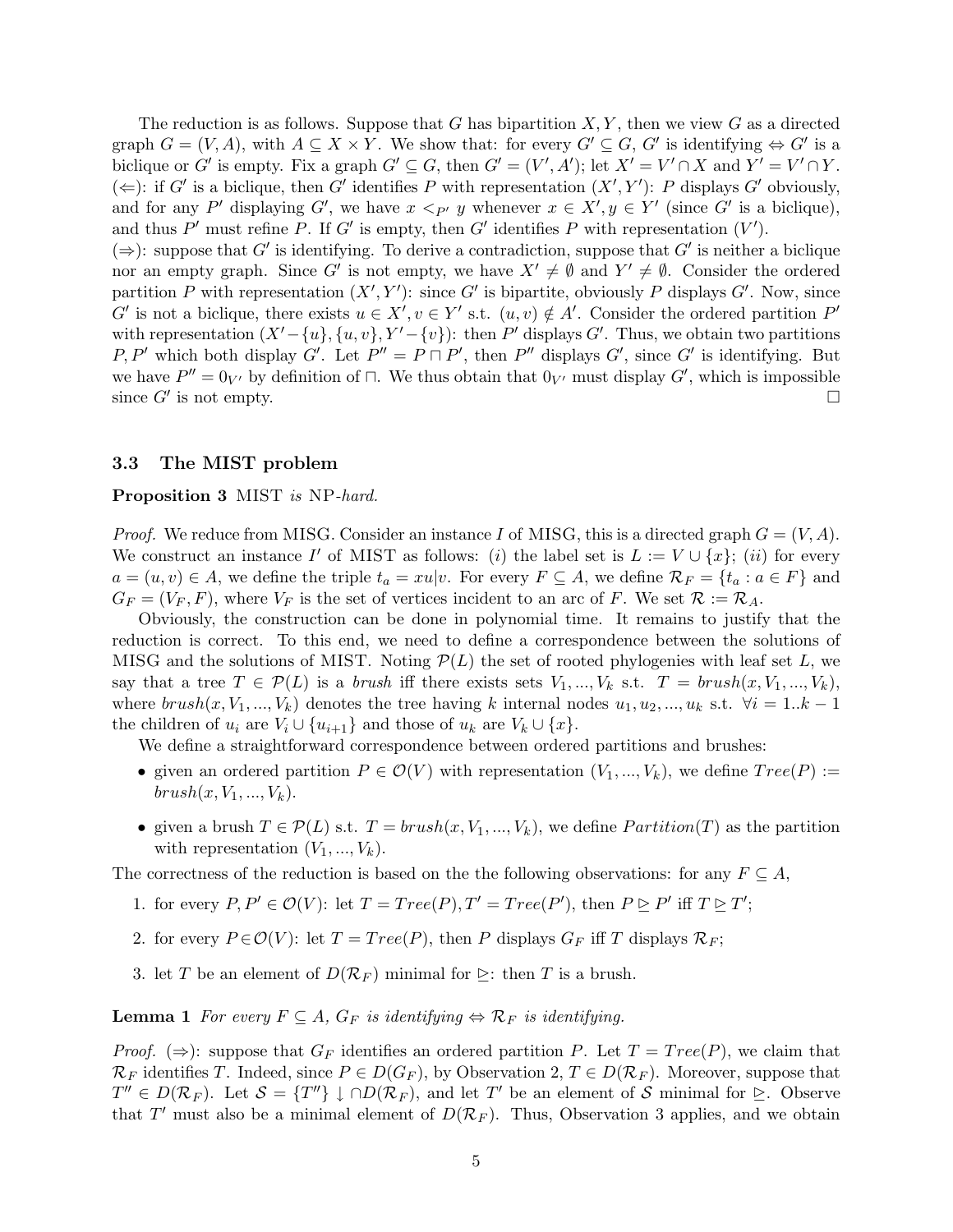The reduction is as follows. Suppose that G has bipartition  $X, Y$ , then we view G as a directed graph  $G = (V, A)$ , with  $A \subseteq X \times Y$ . We show that: for every  $G' \subseteq G$ ,  $G'$  is identifying  $\Leftrightarrow G'$  is a biclique or G' is empty. Fix a graph  $G' \subseteq G$ , then  $G' = (V', A')$ ; let  $X' = V' \cap X$  and  $Y' = V' \cap Y$ . (←): if G' is a biclique, then G' identifies P with representation  $(X', Y')$ : P displays G' obviously, and for any P' displaying G', we have  $x <_{P'} y$  whenever  $x \in X'$ ,  $y \in Y'$  (since G' is a biclique), and thus  $P'$  must refine P. If G' is empty, then G' identifies P with representation  $(V')$ .

 $(\Rightarrow)$ : suppose that G' is identifying. To derive a contradiction, suppose that G' is neither a biclique nor an empty graph. Since G' is not empty, we have  $X' \neq \emptyset$  and  $Y' \neq \emptyset$ . Consider the ordered partition P with representation  $(X', Y')$ : since G' is bipartite, obviously P displays G'. Now, since  $G'$  is not a biclique, there exists  $u \in X'$ ,  $v \in Y'$  s.t.  $(u, v) \notin A'$ . Consider the ordered partition  $P'$ with representation  $(X' - \{u\}, \{u, v\}, Y' - \{v\})$ : then P' displays G'. Thus, we obtain two partitions P, P' which both display G'. Let  $P'' = P \sqcap P'$ , then P'' displays G', since G' is identifying. But we have  $P'' = 0_{V'}$  by definition of  $□$ . We thus obtain that  $0_{V'}$  must display  $G'$ , which is impossible since  $G'$  is not empty.

### 3.3 The MIST problem

#### Proposition 3 MIST is NP-hard.

*Proof.* We reduce from MISG. Consider an instance I of MISG, this is a directed graph  $G = (V, A)$ . We construct an instance I' of MIST as follows: (i) the label set is  $L := V \cup \{x\}$ ; (ii) for every  $a = (u, v) \in A$ , we define the triple  $t_a = xu|v$ . For every  $F \subseteq A$ , we define  $\mathcal{R}_F = \{t_a : a \in F\}$  and  $G_F = (V_F, F)$ , where  $V_F$  is the set of vertices incident to an arc of F. We set  $\mathcal{R} := \mathcal{R}_A$ .

Obviously, the construction can be done in polynomial time. It remains to justify that the reduction is correct. To this end, we need to define a correspondence between the solutions of MISG and the solutions of MIST. Noting  $\mathcal{P}(L)$  the set of rooted phylogenies with leaf set L, we say that a tree  $T \in \mathcal{P}(L)$  is a *brush* iff there exists sets  $V_1, ..., V_k$  s.t.  $T = brush(x, V_1, ..., V_k)$ , where  $brush(x, V_1, ..., V_k)$  denotes the tree having k internal nodes  $u_1, u_2, ..., u_k$  s.t.  $\forall i = 1..k - 1$ the children of  $u_i$  are  $V_i \cup \{u_{i+1}\}\$ and those of  $u_k$  are  $V_k \cup \{x\}.$ 

We define a straightforward correspondence between ordered partitions and brushes:

- given an ordered partition  $P \in \mathcal{O}(V)$  with representation  $(V_1, ..., V_k)$ , we define  $Tree(P) :=$  $brush(x, V_1, ..., V_k).$
- given a brush  $T \in \mathcal{P}(L)$  s.t.  $T = brush(x, V_1, ..., V_k)$ , we define *Partition*(T) as the partition with representation  $(V_1, ..., V_k)$ .

The correctness of the reduction is based on the the following observations: for any  $F \subseteq A$ ,

- 1. for every  $P, P' \in \mathcal{O}(V)$ : let  $T = Tree(P), T' = Tree(P'),$  then  $P \trianglerighteq P'$  iff  $T \trianglerighteq T'$ ;
- 2. for every  $P \in \mathcal{O}(V)$ : let  $T = Tree(P)$ , then P displays  $G_F$  iff T displays  $\mathcal{R}_F$ ;
- 3. let T be an element of  $D(\mathcal{R}_F)$  minimal for  $\geq$ : then T is a brush.

**Lemma 1** For every  $F \subseteq A$ ,  $G_F$  is identifying  $\Leftrightarrow \mathcal{R}_F$  is identifying.

*Proof.*  $(\Rightarrow)$ : suppose that  $G_F$  identifies an ordered partition P. Let  $T = Tree(P)$ , we claim that  $\mathcal{R}_F$  identifies T. Indeed, since  $P \in D(G_F)$ , by Observation 2,  $T \in D(\mathcal{R}_F)$ . Moreover, suppose that  $T'' \in D(\mathcal{R}_F)$ . Let  $\mathcal{S} = \{T''\} \downarrow \cap D(\mathcal{R}_F)$ , and let T' be an element of S minimal for  $\trianglerighteq$ . Observe that T' must also be a minimal element of  $D(\mathcal{R}_F)$ . Thus, Observation 3 applies, and we obtain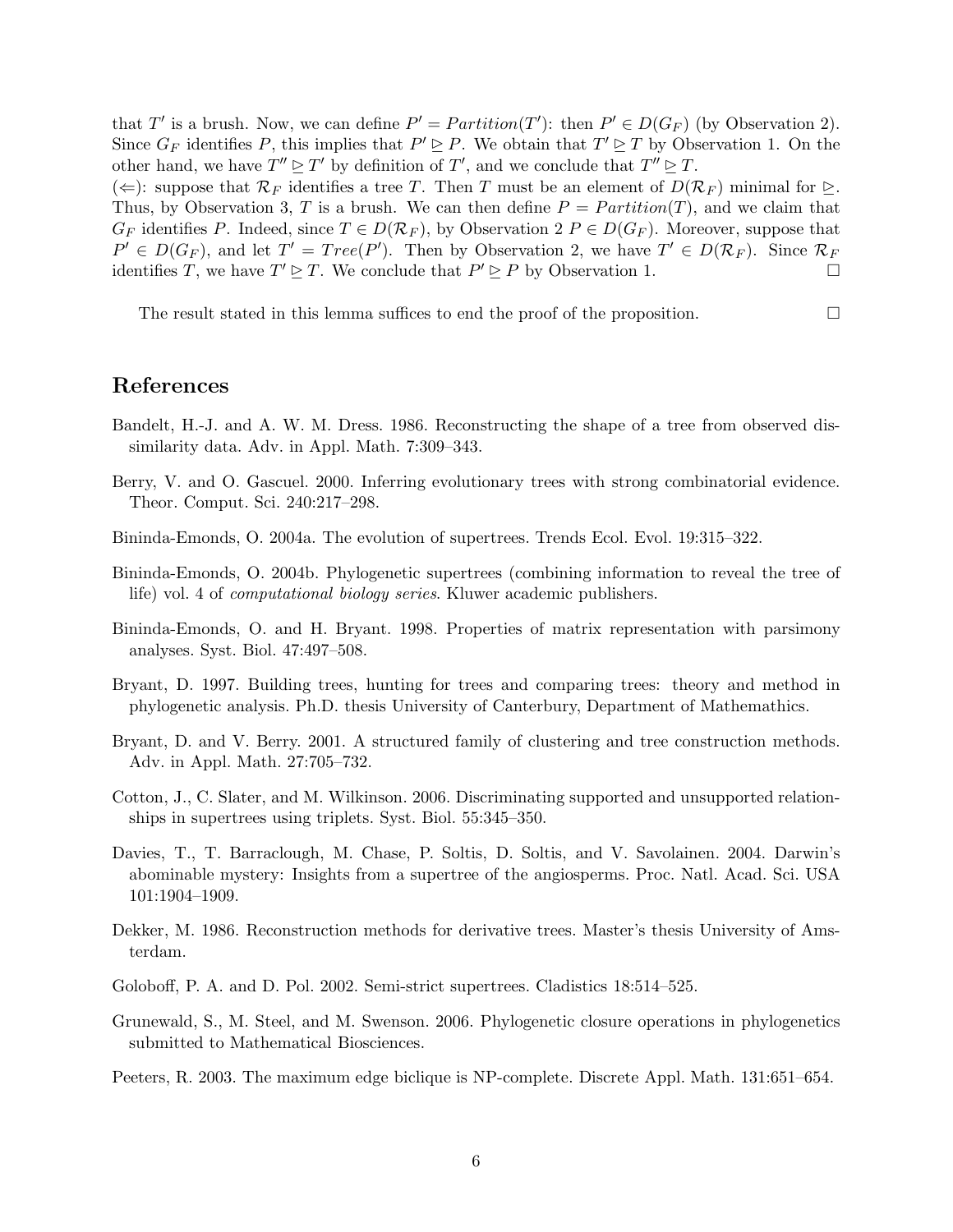that T' is a brush. Now, we can define  $P' = Partition(T')$ : then  $P' \in D(G_F)$  (by Observation 2). Since  $G_F$  identifies P, this implies that  $P' \trianglerighteq P$ . We obtain that  $T' \trianglerighteq T$  by Observation 1. On the other hand, we have  $T'' \trianglerighteq T'$  by definition of T', and we conclude that  $T'' \trianglerighteq T$ .

(⇐): suppose that  $\mathcal{R}_F$  identifies a tree T. Then T must be an element of  $D(\mathcal{R}_F)$  minimal for  $\triangleright$ . Thus, by Observation 3, T is a brush. We can then define  $P = Partition(T)$ , and we claim that  $G_F$  identifies P. Indeed, since  $T \in D(\mathcal{R}_F)$ , by Observation 2  $P \in D(G_F)$ . Moreover, suppose that  $P' \in D(G_F)$ , and let  $T' = Tree(P')$ . Then by Observation 2, we have  $T' \in D(\mathcal{R}_F)$ . Since  $\mathcal{R}_F$ identifies T, we have  $T' \trianglerighteq T$ . We conclude that  $P' \trianglerighteq P$  by Observation 1.

The result stated in this lemma suffices to end the proof of the proposition.  $\Box$ 

## References

- Bandelt, H.-J. and A. W. M. Dress. 1986. Reconstructing the shape of a tree from observed dissimilarity data. Adv. in Appl. Math. 7:309–343.
- Berry, V. and O. Gascuel. 2000. Inferring evolutionary trees with strong combinatorial evidence. Theor. Comput. Sci. 240:217–298.
- Bininda-Emonds, O. 2004a. The evolution of supertrees. Trends Ecol. Evol. 19:315–322.
- Bininda-Emonds, O. 2004b. Phylogenetic supertrees (combining information to reveal the tree of life) vol. 4 of computational biology series. Kluwer academic publishers.
- Bininda-Emonds, O. and H. Bryant. 1998. Properties of matrix representation with parsimony analyses. Syst. Biol. 47:497–508.
- Bryant, D. 1997. Building trees, hunting for trees and comparing trees: theory and method in phylogenetic analysis. Ph.D. thesis University of Canterbury, Department of Mathemathics.
- Bryant, D. and V. Berry. 2001. A structured family of clustering and tree construction methods. Adv. in Appl. Math. 27:705–732.
- Cotton, J., C. Slater, and M. Wilkinson. 2006. Discriminating supported and unsupported relationships in supertrees using triplets. Syst. Biol. 55:345–350.
- Davies, T., T. Barraclough, M. Chase, P. Soltis, D. Soltis, and V. Savolainen. 2004. Darwin's abominable mystery: Insights from a supertree of the angiosperms. Proc. Natl. Acad. Sci. USA 101:1904–1909.
- Dekker, M. 1986. Reconstruction methods for derivative trees. Master's thesis University of Amsterdam.
- Goloboff, P. A. and D. Pol. 2002. Semi-strict supertrees. Cladistics 18:514–525.
- Grunewald, S., M. Steel, and M. Swenson. 2006. Phylogenetic closure operations in phylogenetics submitted to Mathematical Biosciences.
- Peeters, R. 2003. The maximum edge biclique is NP-complete. Discrete Appl. Math. 131:651–654.